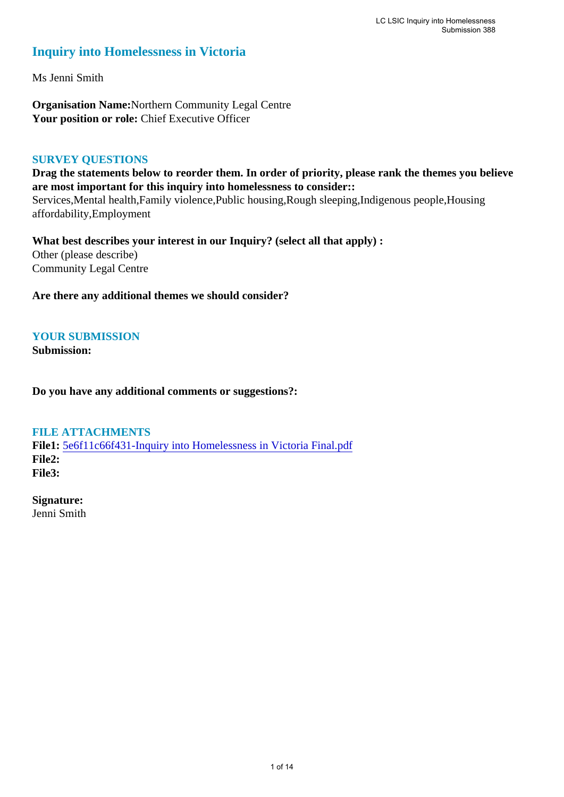## **Inquiry into Homelessness in Victoria**

Ms Jenni Smith

**Organisation Name:**Northern Community Legal Centre Your position or role: Chief Executive Officer

#### **SURVEY QUESTIONS**

**Drag the statements below to reorder them. In order of priority, please rank the themes you believe are most important for this inquiry into homelessness to consider::** 

Services,Mental health,Family violence,Public housing,Rough sleeping,Indigenous people,Housing affordability,Employment

**What best describes your interest in our Inquiry? (select all that apply) :**  Other (please describe) Community Legal Centre

**Are there any additional themes we should consider?**

#### **YOUR SUBMISSION**

**Submission:** 

**Do you have any additional comments or suggestions?:** 

#### **FILE ATTACHMENTS**

**File1:** [5e6f11c66f431-Inquiry into Homelessness in Victoria Final.pdf](https://www.parliament.vic.gov.au/component/rsform/submission-view-file/0bba31dde534b2f5886db6ffca696226/bb967dcbd40d2b7ad17d27c4705f84ea?Itemid=527) **File2: File3:** 

**Signature:** Jenni Smith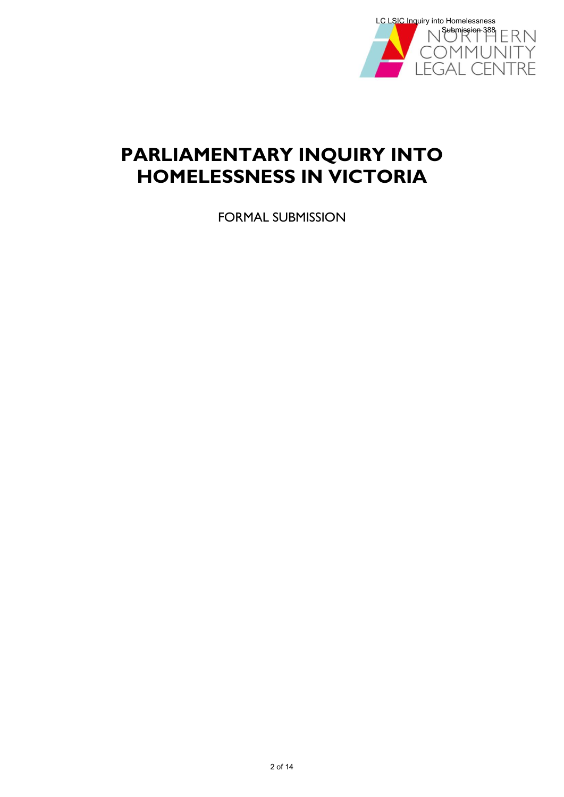

# **PARLIAMENTARY INQUIRY INTO HOMELESSNESS IN VICTORIA**

FORMAL SUBMISSION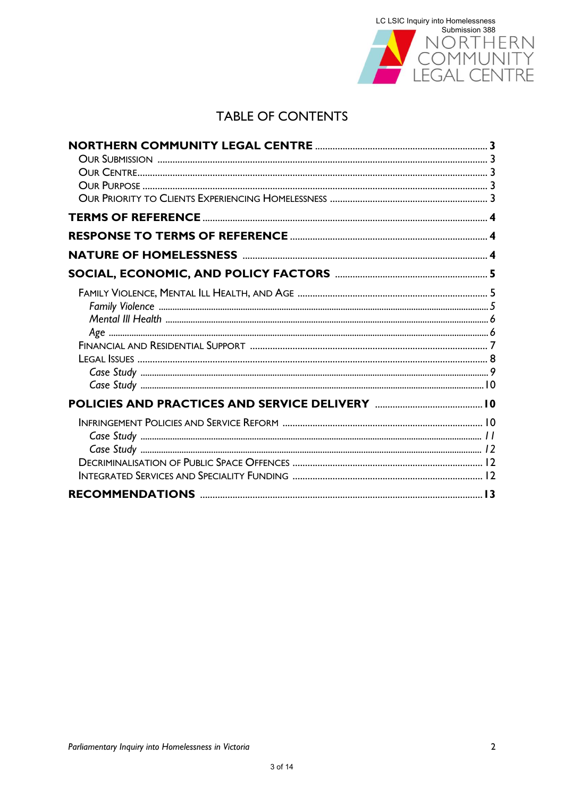

# **TABLE OF CONTENTS**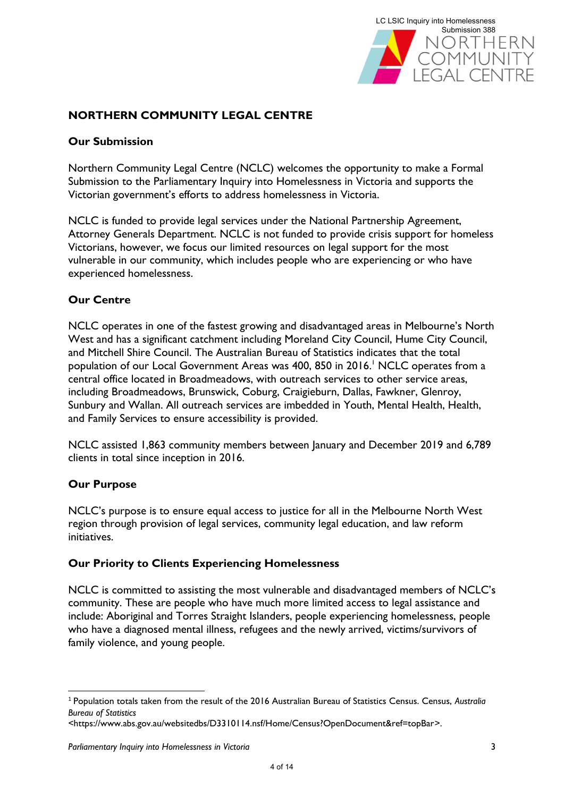

## **NORTHERN COMMUNITY LEGAL CENTRE**

#### **Our Submission**

Northern Community Legal Centre (NCLC) welcomes the opportunity to make a Formal Submission to the Parliamentary Inquiry into Homelessness in Victoria and supports the Victorian government's efforts to address homelessness in Victoria.

NCLC is funded to provide legal services under the National Partnership Agreement, Attorney Generals Department. NCLC is not funded to provide crisis support for homeless Victorians, however, we focus our limited resources on legal support for the most vulnerable in our community, which includes people who are experiencing or who have experienced homelessness.

#### **Our Centre**

NCLC operates in one of the fastest growing and disadvantaged areas in Melbourne's North West and has a significant catchment including Moreland City Council, Hume City Council, and Mitchell Shire Council. The Australian Bureau of Statistics indicates that the total population of our Local Government Areas was 400, 850 in 2016. <sup>1</sup> NCLC operates from a central office located in Broadmeadows, with outreach services to other service areas, including Broadmeadows, Brunswick, Coburg, Craigieburn, Dallas, Fawkner, Glenroy, Sunbury and Wallan. All outreach services are imbedded in Youth, Mental Health, Health, and Family Services to ensure accessibility is provided.

NCLC assisted 1,863 community members between January and December 2019 and 6,789 clients in total since inception in 2016.

#### **Our Purpose**

**.** 

NCLC's purpose is to ensure equal access to justice for all in the Melbourne North West region through provision of legal services, community legal education, and law reform initiatives.

#### **Our Priority to Clients Experiencing Homelessness**

NCLC is committed to assisting the most vulnerable and disadvantaged members of NCLC's community. These are people who have much more limited access to legal assistance and include: Aboriginal and Torres Straight Islanders, people experiencing homelessness, people who have a diagnosed mental illness, refugees and the newly arrived, victims/survivors of family violence, and young people.

<sup>1</sup> Population totals taken from the result of the 2016 Australian Bureau of Statistics Census. Census, *Australia Bureau of Statistics*

[<sup>&</sup>lt;https://www.abs.gov.au/websitedbs/D3310114.nsf/Home/Census?OpenDocument&ref=topBar>](https://www.abs.gov.au/websitedbs/D3310114.nsf/Home/Census?OpenDocument&ref=topBar).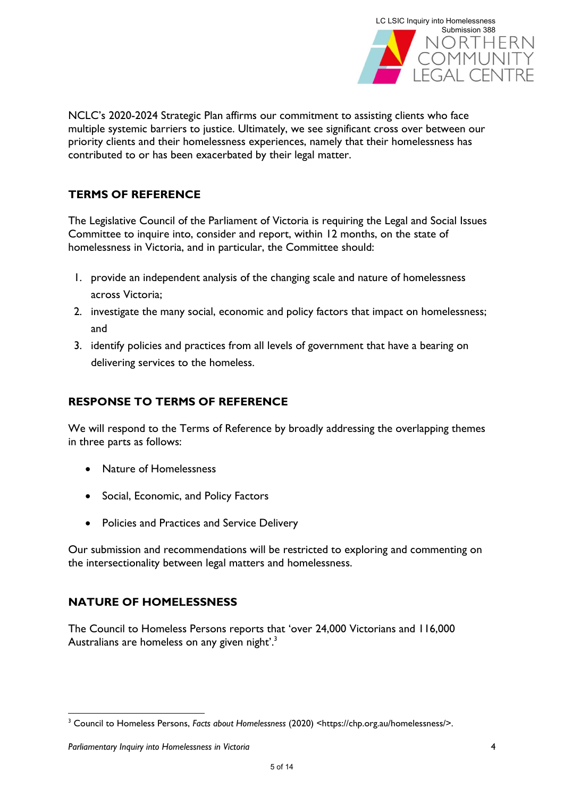

NCLC's 2020-2024 Strategic Plan affirms our commitment to assisting clients who face multiple systemic barriers to justice. Ultimately, we see significant cross over between our priority clients and their homelessness experiences, namely that their homelessness has contributed to or has been exacerbated by their legal matter.

## **TERMS OF REFERENCE**

The Legislative Council of the Parliament of Victoria is requiring the Legal and Social Issues Committee to inquire into, consider and report, within 12 months, on the state of homelessness in Victoria, and in particular, the Committee should:

- 1. provide an independent analysis of the changing scale and nature of homelessness across Victoria;
- 2. investigate the many social, economic and policy factors that impact on homelessness; and
- 3. identify policies and practices from all levels of government that have a bearing on delivering services to the homeless.

## **RESPONSE TO TERMS OF REFERENCE**

We will respond to the Terms of Reference by broadly addressing the overlapping themes in three parts as follows:

- Nature of Homelessness
- Social, Economic, and Policy Factors
- Policies and Practices and Service Delivery

Our submission and recommendations will be restricted to exploring and commenting on the intersectionality between legal matters and homelessness.

## **NATURE OF HOMELESSNESS**

The Council to Homeless Persons reports that 'over 24,000 Victorians and 116,000 Australians are homeless on any given night'.<sup>3</sup>

<sup>1</sup> <sup>3</sup> Council to Homeless Persons, *Facts about Homelessness* (2020) <https://chp.org.au/homelessness/>.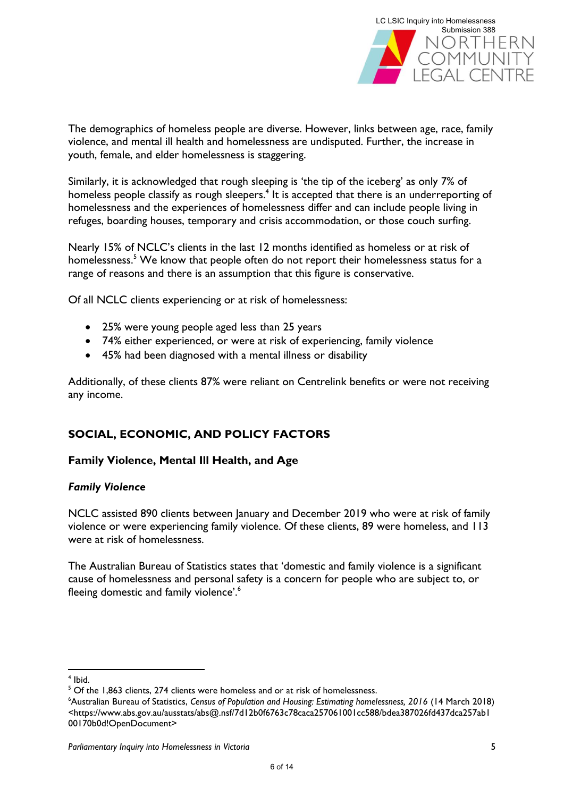

The demographics of homeless people are diverse. However, links between age, race, family violence, and mental ill health and homelessness are undisputed. Further, the increase in youth, female, and elder homelessness is staggering.

Similarly, it is acknowledged that rough sleeping is 'the tip of the iceberg' as only 7% of homeless people classify as rough sleepers.<sup>4</sup> It is accepted that there is an underreporting of homelessness and the experiences of homelessness differ and can include people living in refuges, boarding houses, temporary and crisis accommodation, or those couch surfing.

Nearly 15% of NCLC's clients in the last 12 months identified as homeless or at risk of homelessness.<sup>5</sup> We know that people often do not report their homelessness status for a range of reasons and there is an assumption that this figure is conservative.

Of all NCLC clients experiencing or at risk of homelessness:

- 25% were young people aged less than 25 years
- 74% either experienced, or were at risk of experiencing, family violence
- 45% had been diagnosed with a mental illness or disability

Additionally, of these clients 87% were reliant on Centrelink benefits or were not receiving any income.

## **SOCIAL, ECONOMIC, AND POLICY FACTORS**

#### **Family Violence, Mental Ill Health, and Age**

#### *Family Violence*

NCLC assisted 890 clients between January and December 2019 who were at risk of family violence or were experiencing family violence. Of these clients, 89 were homeless, and 113 were at risk of homelessness.

The Australian Bureau of Statistics states that 'domestic and family violence is a significant cause of homelessness and personal safety is a concern for people who are subject to, or fleeing domestic and family violence'.<sup>6</sup>

**<sup>.</sup>** 4 Ibid.

<sup>&</sup>lt;sup>5</sup> Of the 1,863 clients, 274 clients were homeless and or at risk of homelessness.

<sup>6</sup>Australian Bureau of Statistics, *Census of Population and Housing: Estimating homelessness, 2016* (14 March 2018) <https://www.abs.gov.au/ausstats/abs@.nsf/7d12b0f6763c78caca257061001cc588/bdea387026fd437dca257ab1 00170b0d!OpenDocument>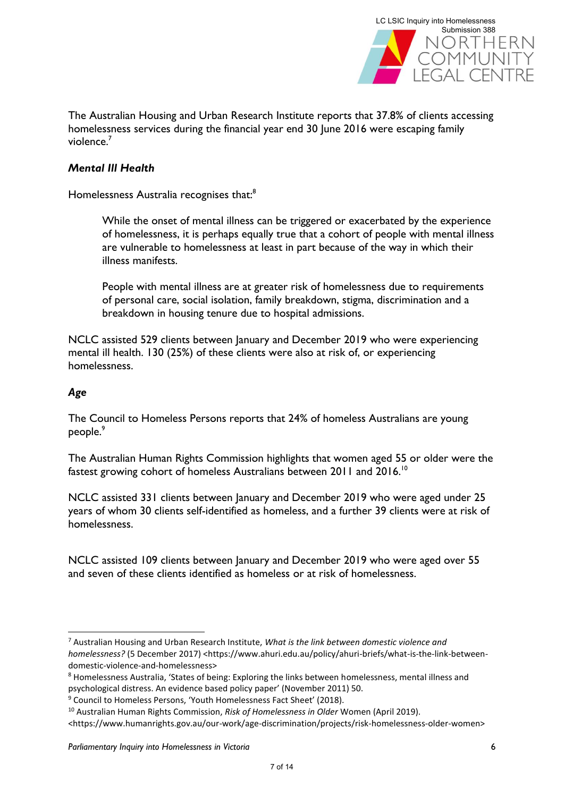

The Australian Housing and Urban Research Institute reports that 37.8% of clients accessing homelessness services during the financial year end 30 June 2016 were escaping family violence.<sup>7</sup>

#### *Mental Ill Health*

Homelessness Australia recognises that:<sup>8</sup>

While the onset of mental illness can be triggered or exacerbated by the experience of homelessness, it is perhaps equally true that a cohort of people with mental illness are vulnerable to homelessness at least in part because of the way in which their illness manifests.

People with mental illness are at greater risk of homelessness due to requirements of personal care, social isolation, family breakdown, stigma, discrimination and a breakdown in housing tenure due to hospital admissions.

NCLC assisted 529 clients between January and December 2019 who were experiencing mental ill health. 130 (25%) of these clients were also at risk of, or experiencing homelessness.

#### *Age*

**.** 

The Council to Homeless Persons reports that 24% of homeless Australians are young people.<sup>9</sup>

The Australian Human Rights Commission highlights that women aged 55 or older were the fastest growing cohort of homeless Australians between 2011 and 2016.<sup>10</sup>

NCLC assisted 331 clients between January and December 2019 who were aged under 25 years of whom 30 clients self-identified as homeless, and a further 39 clients were at risk of homelessness.

NCLC assisted 109 clients between January and December 2019 who were aged over 55 and seven of these clients identified as homeless or at risk of homelessness.

<sup>7</sup> Australian Housing and Urban Research Institute, *What is the link between domestic violence and homelessness?* (5 December 2017) <https://www.ahuri.edu.au/policy/ahuri-briefs/what-is-the-link-betweendomestic-violence-and-homelessness>

<sup>8</sup> Homelessness Australia, 'States of being: Exploring the links between homelessness, mental illness and psychological distress. An evidence based policy paper' (November 2011) 50.

<sup>9</sup> Council to Homeless Persons, 'Youth Homelessness Fact Sheet' (2018).

<sup>10</sup> Australian Human Rights Commission, *Risk of Homelessness in Older* Women (April 2019).

<sup>&</sup>lt;https://www.humanrights.gov.au/our-work/age-discrimination/projects/risk-homelessness-older-women>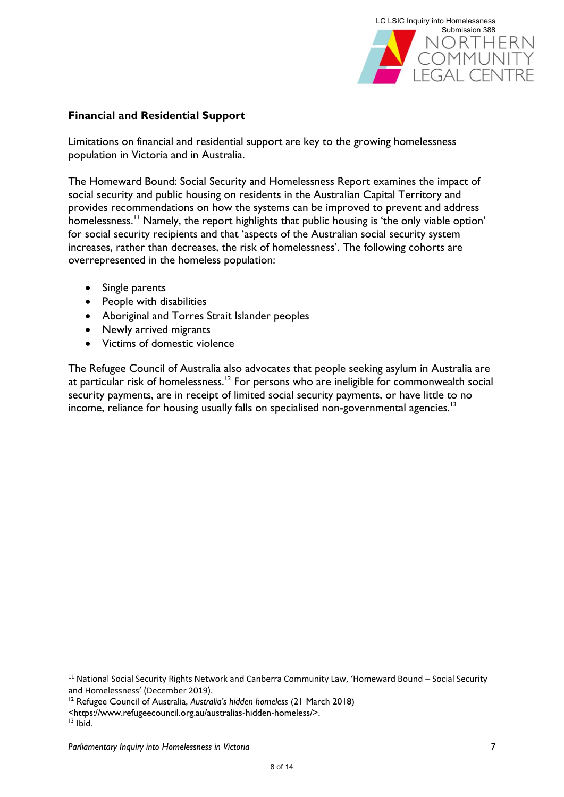

### **Financial and Residential Support**

Limitations on financial and residential support are key to the growing homelessness population in Victoria and in Australia.

The Homeward Bound: Social Security and Homelessness Report examines the impact of social security and public housing on residents in the Australian Capital Territory and provides recommendations on how the systems can be improved to prevent and address homelessness.<sup>11</sup> Namely, the report highlights that public housing is 'the only viable option' for social security recipients and that 'aspects of the Australian social security system increases, rather than decreases, the risk of homelessness'. The following cohorts are overrepresented in the homeless population:

- Single parents
- People with disabilities
- Aboriginal and Torres Strait Islander peoples
- Newly arrived migrants
- Victims of domestic violence

The Refugee Council of Australia also advocates that people seeking asylum in Australia are at particular risk of homelessness.<sup>12</sup> For persons who are ineligible for commonwealth social security payments, are in receipt of limited social security payments, or have little to no income, reliance for housing usually falls on specialised non-governmental agencies.<sup>13</sup>

1

<sup>&</sup>lt;sup>11</sup> National Social Security Rights Network and Canberra Community Law, 'Homeward Bound – Social Security and Homelessness' (December 2019).

<sup>12</sup> Refugee Council of Australia, *Australia's hidden homeless* (21 March 2018)

*<sup>&</sup>lt;*https://www.refugeecouncil.org.au/australias-hidden-homeless/>.

 $13$  lbid.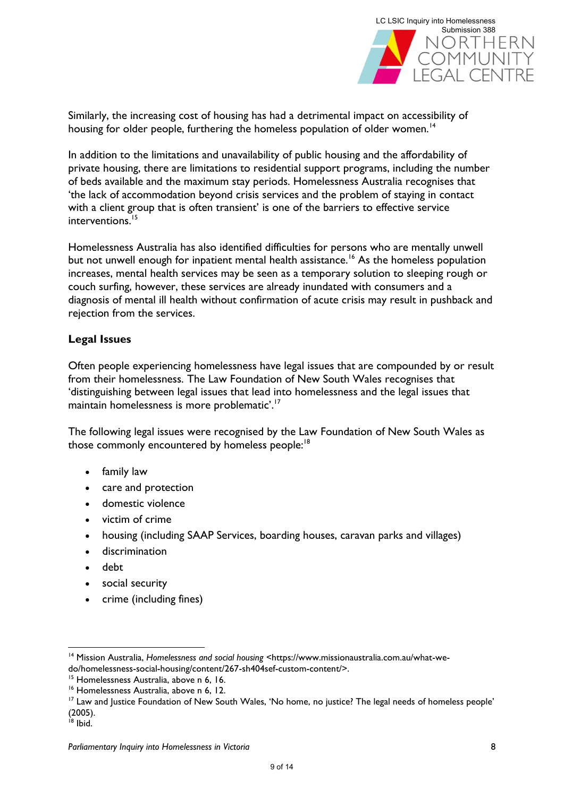

Similarly, the increasing cost of housing has had a detrimental impact on accessibility of housing for older people, furthering the homeless population of older women.<sup>14</sup>

In addition to the limitations and unavailability of public housing and the affordability of private housing, there are limitations to residential support programs, including the number of beds available and the maximum stay periods. Homelessness Australia recognises that 'the lack of accommodation beyond crisis services and the problem of staying in contact with a client group that is often transient' is one of the barriers to effective service interventions.<sup>15</sup>

Homelessness Australia has also identified difficulties for persons who are mentally unwell but not unwell enough for inpatient mental health assistance.<sup>16</sup> As the homeless population increases, mental health services may be seen as a temporary solution to sleeping rough or couch surfing, however, these services are already inundated with consumers and a diagnosis of mental ill health without confirmation of acute crisis may result in pushback and rejection from the services.

#### **Legal Issues**

Often people experiencing homelessness have legal issues that are compounded by or result from their homelessness. The Law Foundation of New South Wales recognises that 'distinguishing between legal issues that lead into homelessness and the legal issues that maintain homelessness is more problematic'.<sup>17</sup>

The following legal issues were recognised by the Law Foundation of New South Wales as those commonly encountered by homeless people:<sup>18</sup>

- family law
- care and protection
- domestic violence
- victim of crime
- housing (including SAAP Services, boarding houses, caravan parks and villages)
- discrimination
- debt
- social security
- crime (including fines)

**.** 

<sup>14</sup> Mission Australia, *Homelessness and social housing* <https://www.missionaustralia.com.au/what-wedo/homelessness-social-housing/content/267-sh404sef-custom-content/>.

<sup>&</sup>lt;sup>15</sup> Homelessness Australia, above n 6, 16.

<sup>&</sup>lt;sup>16</sup> Homelessness Australia, above n 6, 12.

<sup>&</sup>lt;sup>17</sup> Law and Justice Foundation of New South Wales, 'No home, no justice? The legal needs of homeless people' (2005).

 $18$  Ibid.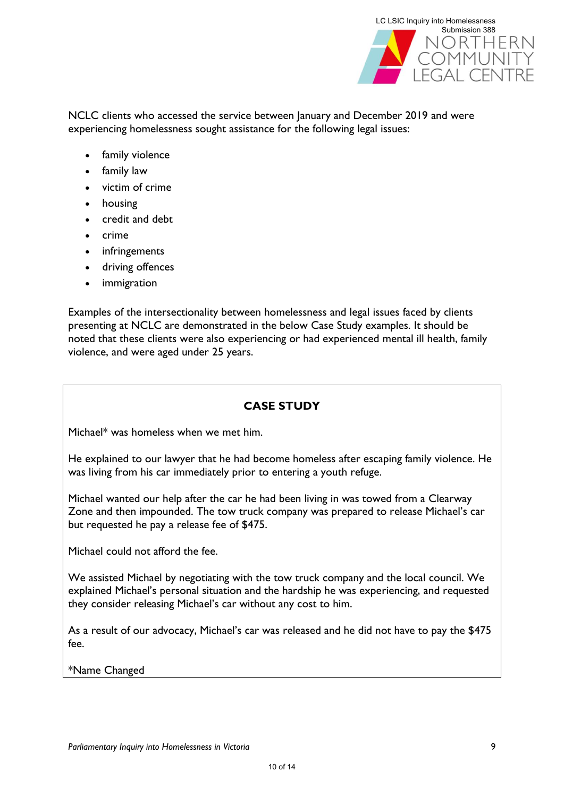

NCLC clients who accessed the service between January and December 2019 and were experiencing homelessness sought assistance for the following legal issues:

- family violence
- family law
- victim of crime
- housing
- credit and debt
- crime
- infringements
- driving offences
- *immigration*

Examples of the intersectionality between homelessness and legal issues faced by clients presenting at NCLC are demonstrated in the below Case Study examples. It should be noted that these clients were also experiencing or had experienced mental ill health, family violence, and were aged under 25 years.

## **CASE STUDY**

Michael\* was homeless when we met him.

He explained to our lawyer that he had become homeless after escaping family violence. He was living from his car immediately prior to entering a youth refuge.

Michael wanted our help after the car he had been living in was towed from a Clearway Zone and then impounded. The tow truck company was prepared to release Michael's car but requested he pay a release fee of \$475.

Michael could not afford the fee.

We assisted Michael by negotiating with the tow truck company and the local council. We explained Michael's personal situation and the hardship he was experiencing, and requested they consider releasing Michael's car without any cost to him.

As a result of our advocacy, Michael's car was released and he did not have to pay the \$475 fee.

\*Name Changed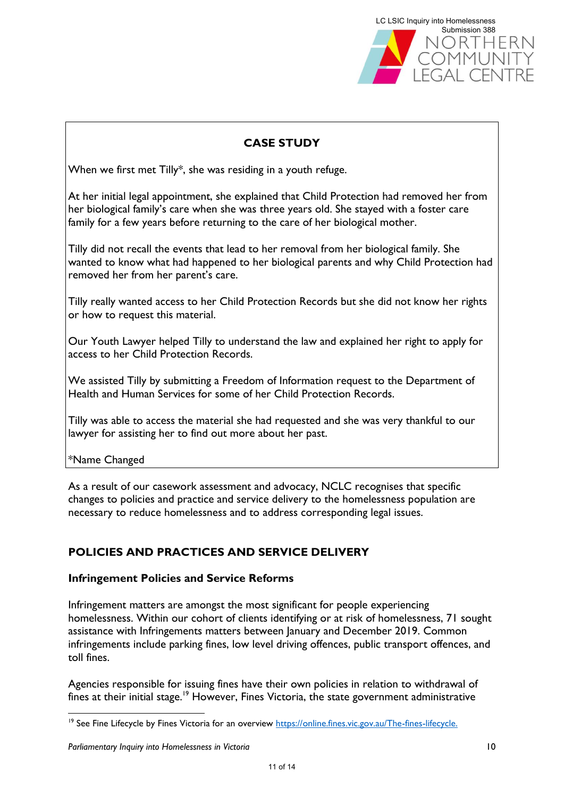

## **CASE STUDY**

When we first met Tilly\*, she was residing in a youth refuge.

At her initial legal appointment, she explained that Child Protection had removed her from her biological family's care when she was three years old. She stayed with a foster care family for a few years before returning to the care of her biological mother.

Tilly did not recall the events that lead to her removal from her biological family. She wanted to know what had happened to her biological parents and why Child Protection had removed her from her parent's care.

Tilly really wanted access to her Child Protection Records but she did not know her rights or how to request this material.

Our Youth Lawyer helped Tilly to understand the law and explained her right to apply for access to her Child Protection Records.

We assisted Tilly by submitting a Freedom of Information request to the Department of Health and Human Services for some of her Child Protection Records.

Tilly was able to access the material she had requested and she was very thankful to our lawyer for assisting her to find out more about her past.

\*Name Changed

1

As a result of our casework assessment and advocacy, NCLC recognises that specific changes to policies and practice and service delivery to the homelessness population are necessary to reduce homelessness and to address corresponding legal issues.

## **POLICIES AND PRACTICES AND SERVICE DELIVERY**

#### **Infringement Policies and Service Reforms**

Infringement matters are amongst the most significant for people experiencing homelessness. Within our cohort of clients identifying or at risk of homelessness, 71 sought assistance with Infringements matters between January and December 2019. Common infringements include parking fines, low level driving offences, public transport offences, and toll fines.

Agencies responsible for issuing fines have their own policies in relation to withdrawal of fines at their initial stage.<sup>19</sup> However, Fines Victoria, the state government administrative

<sup>&</sup>lt;sup>19</sup> See Fine Lifecycle by Fines Victoria for an overview [https://online.fines.vic.gov.au/The-fines-lifecycle.](https://online.fines.vic.gov.au/The-fines-lifecycle)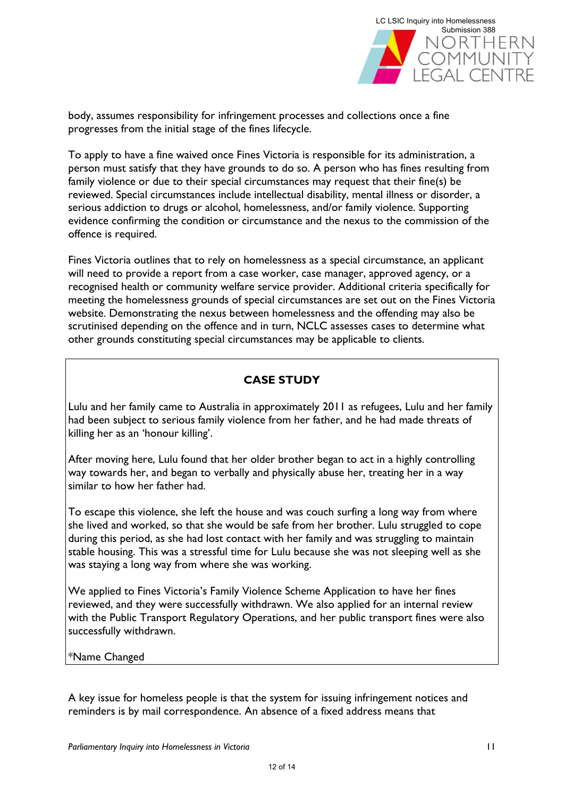

body, assumes responsibility for infringement processes and collections once a fine progresses from the initial stage of the fines lifecycle.

To apply to have a fine waived once Fines Victoria is responsible for its administration, a person must satisfy that they have grounds to do so. A person who has fines resulting from family violence or due to their special circumstances may request that their fine(s) be reviewed. Special circumstances include intellectual disability, mental illness or disorder, a serious addiction to drugs or alcohol, homelessness, and/or family violence. Supporting evidence confirming the condition or circumstance and the nexus to the commission of the offence is required.

Fines Victoria outlines that to rely on homelessness as a special circumstance, an applicant will need to provide a report from a case worker, case manager, approved agency, or a recognised health or community welfare service provider. Additional criteria specifically for meeting the homelessness grounds of special circumstances are set out on the Fines Victoria website. Demonstrating the nexus between homelessness and the offending may also be scrutinised depending on the offence and in turn, NCLC assesses cases to determine what other grounds constituting special circumstances may be applicable to clients.

## **CASE STUDY**

Lulu and her family came to Australia in approximately 2011 as refugees, Lulu and her family had been subject to serious family violence from her father, and he had made threats of killing her as an 'honour killing'.

After moving here, Lulu found that her older brother began to act in a highly controlling way towards her, and began to verbally and physically abuse her, treating her in a way similar to how her father had.

To escape this violence, she left the house and was couch surfing a long way from where she lived and worked, so that she would be safe from her brother. Lulu struggled to cope during this period, as she had lost contact with her family and was struggling to maintain stable housing. This was a stressful time for Lulu because she was not sleeping well as she was staying a long way from where she was working.

We applied to Fines Victoria's Family Violence Scheme Application to have her fines reviewed, and they were successfully withdrawn. We also applied for an internal review with the Public Transport Regulatory Operations, and her public transport fines were also successfully withdrawn.

#### \*Name Changed

A key issue for homeless people is that the system for issuing infringement notices and reminders is by mail correspondence. An absence of a fixed address means that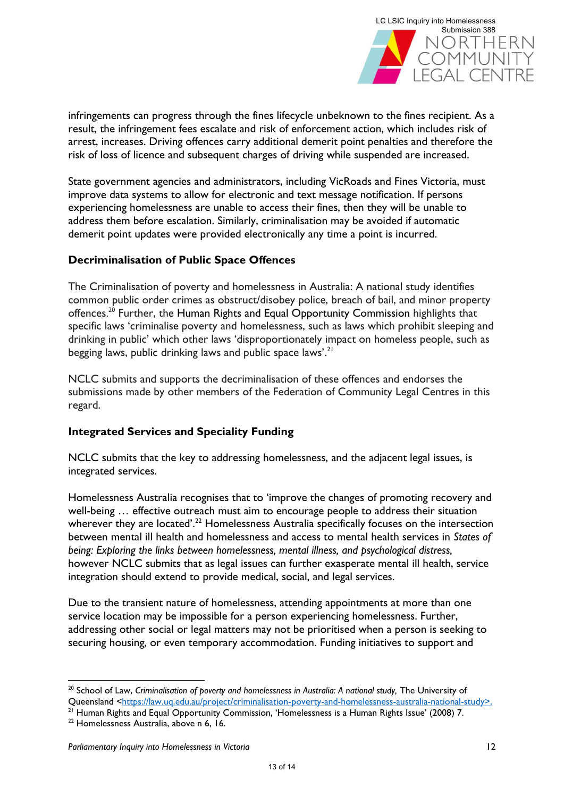

infringements can progress through the fines lifecycle unbeknown to the fines recipient. As a result, the infringement fees escalate and risk of enforcement action, which includes risk of arrest, increases. Driving offences carry additional demerit point penalties and therefore the risk of loss of licence and subsequent charges of driving while suspended are increased.

State government agencies and administrators, including VicRoads and Fines Victoria, must improve data systems to allow for electronic and text message notification. If persons experiencing homelessness are unable to access their fines, then they will be unable to address them before escalation. Similarly, criminalisation may be avoided if automatic demerit point updates were provided electronically any time a point is incurred.

#### **Decriminalisation of Public Space Offences**

The Criminalisation of poverty and homelessness in Australia: A national study identifies common public order crimes as obstruct/disobey police, breach of bail, and minor property offences.<sup>20</sup> Further, the Human Rights and Equal Opportunity Commission highlights that specific laws 'criminalise poverty and homelessness, such as laws which prohibit sleeping and drinking in public' which other laws 'disproportionately impact on homeless people, such as begging laws, public drinking laws and public space laws'.<sup>21</sup>

NCLC submits and supports the decriminalisation of these offences and endorses the submissions made by other members of the Federation of Community Legal Centres in this regard.

#### **Integrated Services and Speciality Funding**

NCLC submits that the key to addressing homelessness, and the adjacent legal issues, is integrated services.

Homelessness Australia recognises that to 'improve the changes of promoting recovery and well-being … effective outreach must aim to encourage people to address their situation wherever they are located'.<sup>22</sup> Homelessness Australia specifically focuses on the intersection between mental ill health and homelessness and access to mental health services in *States of being: Exploring the links between homelessness, mental illness, and psychological distress,*  however NCLC submits that as legal issues can further exasperate mental ill health, service integration should extend to provide medical, social, and legal services.

Due to the transient nature of homelessness, attending appointments at more than one service location may be impossible for a person experiencing homelessness. Further, addressing other social or legal matters may not be prioritised when a person is seeking to securing housing, or even temporary accommodation. Funding initiatives to support and

1

<sup>&</sup>lt;sup>20</sup> School of Law, *Criminalisation of poverty and homelessness in Australia: A national study*, The University of Queensland [<https://law.uq.edu.au/project/criminalisation-poverty-and-homelessness-australia-national-study>](https://law.uq.edu.au/project/criminalisation-poverty-and-homelessness-australia-national-study).

<sup>&</sup>lt;sup>21</sup> Human Rights and Equal Opportunity Commission, 'Homelessness is a Human Rights Issue' (2008) 7.

<sup>22</sup> Homelessness Australia, above n 6, 16.